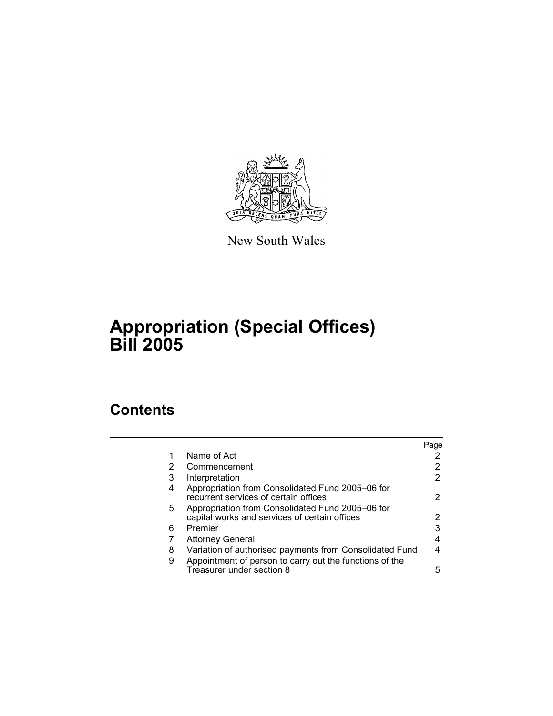

New South Wales

# **Appropriation (Special Offices) Bill 2005**

## **Contents**

|                                                                                                   | Page |
|---------------------------------------------------------------------------------------------------|------|
| Name of Act                                                                                       |      |
| Commencement                                                                                      |      |
| Interpretation                                                                                    | 2    |
| Appropriation from Consolidated Fund 2005–06 for<br>recurrent services of certain offices         | 2    |
| Appropriation from Consolidated Fund 2005–06 for<br>capital works and services of certain offices |      |
| Premier                                                                                           | 3    |
| <b>Attorney General</b>                                                                           |      |
| Variation of authorised payments from Consolidated Fund                                           |      |
| Appointment of person to carry out the functions of the<br>Treasurer under section 8              | 5    |
|                                                                                                   |      |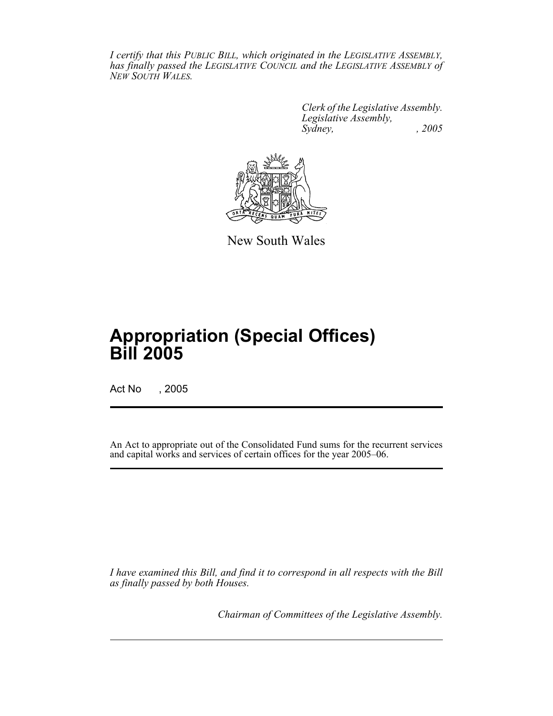*I certify that this PUBLIC BILL, which originated in the LEGISLATIVE ASSEMBLY, has finally passed the LEGISLATIVE COUNCIL and the LEGISLATIVE ASSEMBLY of NEW SOUTH WALES.*

> *Clerk of the Legislative Assembly. Legislative Assembly, Sydney, , 2005*



New South Wales

## **Appropriation (Special Offices) Bill 2005**

Act No , 2005

An Act to appropriate out of the Consolidated Fund sums for the recurrent services and capital works and services of certain offices for the year 2005–06.

*I have examined this Bill, and find it to correspond in all respects with the Bill as finally passed by both Houses.*

*Chairman of Committees of the Legislative Assembly.*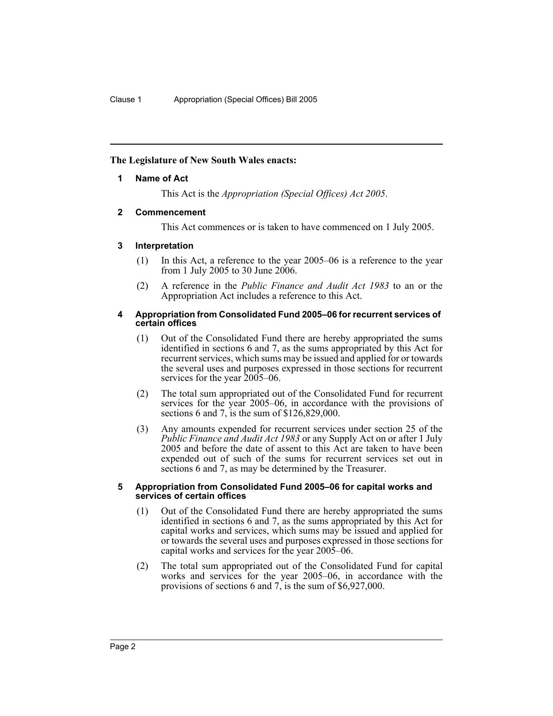## **The Legislature of New South Wales enacts:**

## **1 Name of Act**

This Act is the *Appropriation (Special Offices) Act 2005*.

## **2 Commencement**

This Act commences or is taken to have commenced on 1 July 2005.

## **3 Interpretation**

- (1) In this Act, a reference to the year 2005–06 is a reference to the year from 1 July 2005 to 30 June 2006.
- (2) A reference in the *Public Finance and Audit Act 1983* to an or the Appropriation Act includes a reference to this Act.

### **4 Appropriation from Consolidated Fund 2005–06 for recurrent services of certain offices**

- (1) Out of the Consolidated Fund there are hereby appropriated the sums identified in sections 6 and 7, as the sums appropriated by this Act for recurrent services, which sums may be issued and applied for or towards the several uses and purposes expressed in those sections for recurrent services for the year  $2005-06$ .
- (2) The total sum appropriated out of the Consolidated Fund for recurrent services for the year 2005–06, in accordance with the provisions of sections 6 and 7, is the sum of \$126,829,000.
- (3) Any amounts expended for recurrent services under section 25 of the *Public Finance and Audit Act 1983* or any Supply Act on or after 1 July 2005 and before the date of assent to this Act are taken to have been expended out of such of the sums for recurrent services set out in sections 6 and 7, as may be determined by the Treasurer.

#### **5 Appropriation from Consolidated Fund 2005–06 for capital works and services of certain offices**

- (1) Out of the Consolidated Fund there are hereby appropriated the sums identified in sections 6 and 7, as the sums appropriated by this Act for capital works and services, which sums may be issued and applied for or towards the several uses and purposes expressed in those sections for capital works and services for the year 2005–06.
- (2) The total sum appropriated out of the Consolidated Fund for capital works and services for the year 2005–06, in accordance with the provisions of sections 6 and 7, is the sum of \$6,927,000.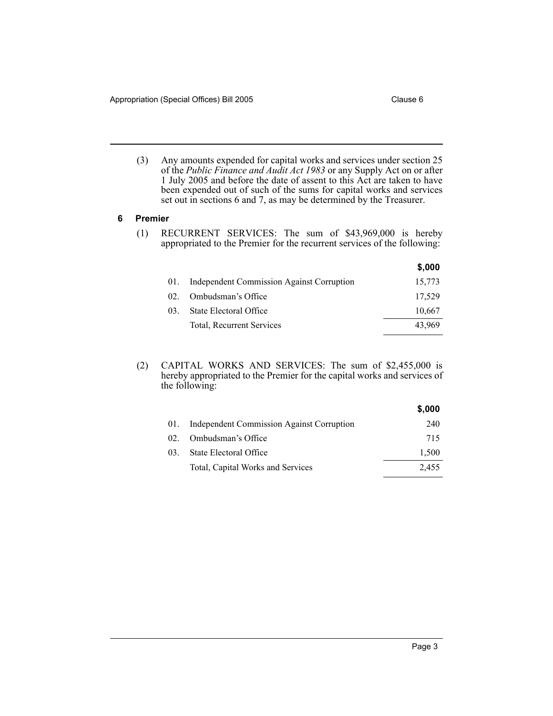(3) Any amounts expended for capital works and services under section 25 of the *Public Finance and Audit Act 1983* or any Supply Act on or after 1 July 2005 and before the date of assent to this Act are taken to have been expended out of such of the sums for capital works and services set out in sections 6 and 7, as may be determined by the Treasurer.

## **6 Premier**

(1) RECURRENT SERVICES: The sum of \$43,969,000 is hereby appropriated to the Premier for the recurrent services of the following:

|     |                                           | \$,000 |
|-----|-------------------------------------------|--------|
| 01. | Independent Commission Against Corruption | 15,773 |
| 02. | Ombudsman's Office                        | 17,529 |
| 03. | State Electoral Office                    | 10,667 |
|     | Total, Recurrent Services                 | 43,969 |

#### (2) CAPITAL WORKS AND SERVICES: The sum of \$2,455,000 is hereby appropriated to the Premier for the capital works and services of the following:

|                                               | \$,000 |
|-----------------------------------------------|--------|
| 01. Independent Commission Against Corruption | 240    |
| 02. Ombudsman's Office                        | 715    |
| State Electoral Office<br>$03_{-}$            | 1,500  |
| Total, Capital Works and Services             | 2.455  |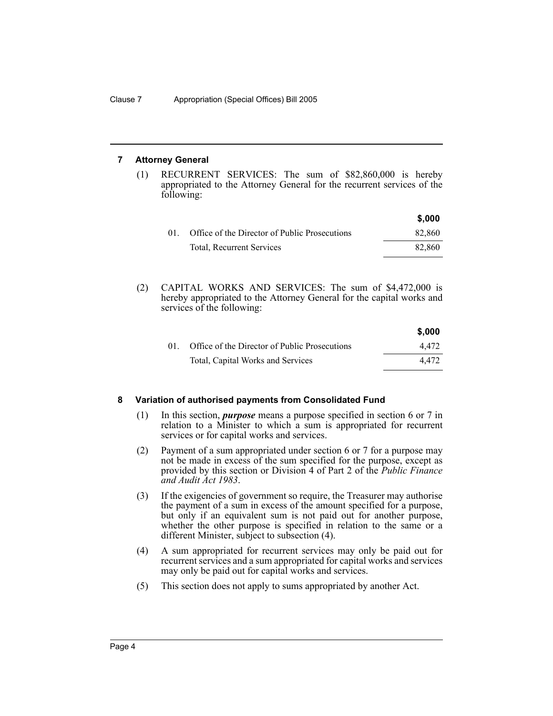## **7 Attorney General**

(1) RECURRENT SERVICES: The sum of \$82,860,000 is hereby appropriated to the Attorney General for the recurrent services of the following:

|     |                                               | \$,000 |
|-----|-----------------------------------------------|--------|
| 01. | Office of the Director of Public Prosecutions | 82.860 |
|     | <b>Total, Recurrent Services</b>              | 82.860 |

(2) CAPITAL WORKS AND SERVICES: The sum of \$4,472,000 is hereby appropriated to the Attorney General for the capital works and services of the following:

|    |                                               | \$,000 |
|----|-----------------------------------------------|--------|
| 01 | Office of the Director of Public Prosecutions | 4.472  |
|    | Total, Capital Works and Services             | 4.472  |

### **8 Variation of authorised payments from Consolidated Fund**

- (1) In this section, *purpose* means a purpose specified in section 6 or 7 in relation to a Minister to which a sum is appropriated for recurrent services or for capital works and services.
- (2) Payment of a sum appropriated under section 6 or 7 for a purpose may not be made in excess of the sum specified for the purpose, except as provided by this section or Division 4 of Part 2 of the *Public Finance and Audit Act 1983*.
- (3) If the exigencies of government so require, the Treasurer may authorise the payment of a sum in excess of the amount specified for a purpose, but only if an equivalent sum is not paid out for another purpose, whether the other purpose is specified in relation to the same or a different Minister, subject to subsection (4).
- (4) A sum appropriated for recurrent services may only be paid out for recurrent services and a sum appropriated for capital works and services may only be paid out for capital works and services.
- (5) This section does not apply to sums appropriated by another Act.